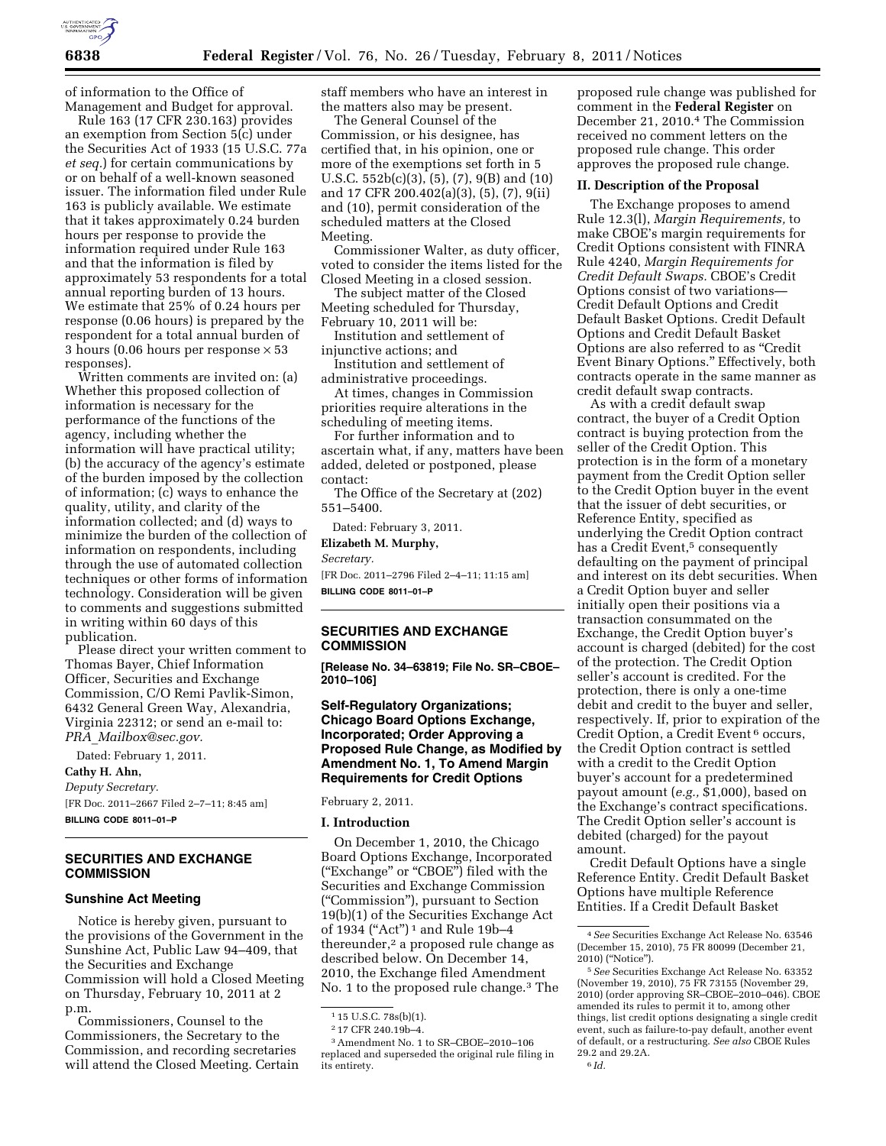

of information to the Office of Management and Budget for approval.

Rule 163 (17 CFR 230.163) provides an exemption from Section 5(c) under the Securities Act of 1933 (15 U.S.C. 77a *et seq.*) for certain communications by or on behalf of a well-known seasoned issuer. The information filed under Rule 163 is publicly available. We estimate that it takes approximately 0.24 burden hours per response to provide the information required under Rule 163 and that the information is filed by approximately 53 respondents for a total annual reporting burden of 13 hours. We estimate that 25% of 0.24 hours per response (0.06 hours) is prepared by the respondent for a total annual burden of 3 hours (0.06 hours per response × 53 responses).

Written comments are invited on: (a) Whether this proposed collection of information is necessary for the performance of the functions of the agency, including whether the information will have practical utility; (b) the accuracy of the agency's estimate of the burden imposed by the collection of information; (c) ways to enhance the quality, utility, and clarity of the information collected; and (d) ways to minimize the burden of the collection of information on respondents, including through the use of automated collection techniques or other forms of information technology. Consideration will be given to comments and suggestions submitted in writing within 60 days of this publication.

Please direct your written comment to Thomas Bayer, Chief Information Officer, Securities and Exchange Commission, C/O Remi Pavlik-Simon, 6432 General Green Way, Alexandria, Virginia 22312; or send an e-mail to: *PRA*\_*[Mailbox@sec.gov.](mailto:PRA_Mailbox@sec.gov)* 

Dated: February 1, 2011.

**Cathy H. Ahn,** 

*Deputy Secretary.*  [FR Doc. 2011–2667 Filed 2–7–11; 8:45 am] **BILLING CODE 8011–01–P** 

# **SECURITIES AND EXCHANGE COMMISSION**

### **Sunshine Act Meeting**

Notice is hereby given, pursuant to the provisions of the Government in the Sunshine Act, Public Law 94–409, that the Securities and Exchange Commission will hold a Closed Meeting on Thursday, February 10, 2011 at 2 p.m.

Commissioners, Counsel to the Commissioners, the Secretary to the Commission, and recording secretaries will attend the Closed Meeting. Certain staff members who have an interest in the matters also may be present.

The General Counsel of the Commission, or his designee, has certified that, in his opinion, one or more of the exemptions set forth in 5 U.S.C. 552b(c)(3), (5), (7), 9(B) and (10) and 17 CFR 200.402(a)(3), (5), (7), 9(ii) and (10), permit consideration of the scheduled matters at the Closed Meeting.

Commissioner Walter, as duty officer, voted to consider the items listed for the Closed Meeting in a closed session.

The subject matter of the Closed Meeting scheduled for Thursday, February 10, 2011 will be:

Institution and settlement of injunctive actions; and

Institution and settlement of administrative proceedings.

At times, changes in Commission priorities require alterations in the scheduling of meeting items.

For further information and to ascertain what, if any, matters have been added, deleted or postponed, please contact:

The Office of the Secretary at (202) 551–5400.

Dated: February 3, 2011.

**Elizabeth M. Murphy,** 

*Secretary.* 

[FR Doc. 2011–2796 Filed 2–4–11; 11:15 am] **BILLING CODE 8011–01–P** 

## **SECURITIES AND EXCHANGE COMMISSION**

**[Release No. 34–63819; File No. SR–CBOE– 2010–106]** 

## **Self-Regulatory Organizations; Chicago Board Options Exchange, Incorporated; Order Approving a Proposed Rule Change, as Modified by Amendment No. 1, To Amend Margin Requirements for Credit Options**

February 2, 2011.

### **I. Introduction**

On December 1, 2010, the Chicago Board Options Exchange, Incorporated (''Exchange'' or ''CBOE'') filed with the Securities and Exchange Commission (''Commission''), pursuant to Section 19(b)(1) of the Securities Exchange Act of 1934 ("Act")<sup>1</sup> and Rule 19b-4 thereunder,<sup>2</sup> a proposed rule change as described below. On December 14, 2010, the Exchange filed Amendment No. 1 to the proposed rule change.3 The proposed rule change was published for comment in the **Federal Register** on December 21, 2010.4 The Commission received no comment letters on the proposed rule change. This order approves the proposed rule change.

#### **II. Description of the Proposal**

The Exchange proposes to amend Rule 12.3(l), *Margin Requirements,* to make CBOE's margin requirements for Credit Options consistent with FINRA Rule 4240, *Margin Requirements for Credit Default Swaps.* CBOE's Credit Options consist of two variations— Credit Default Options and Credit Default Basket Options. Credit Default Options and Credit Default Basket Options are also referred to as ''Credit Event Binary Options.'' Effectively, both contracts operate in the same manner as credit default swap contracts.

As with a credit default swap contract, the buyer of a Credit Option contract is buying protection from the seller of the Credit Option. This protection is in the form of a monetary payment from the Credit Option seller to the Credit Option buyer in the event that the issuer of debt securities, or Reference Entity, specified as underlying the Credit Option contract has a Credit Event,<sup>5</sup> consequently defaulting on the payment of principal and interest on its debt securities. When a Credit Option buyer and seller initially open their positions via a transaction consummated on the Exchange, the Credit Option buyer's account is charged (debited) for the cost of the protection. The Credit Option seller's account is credited. For the protection, there is only a one-time debit and credit to the buyer and seller, respectively. If, prior to expiration of the Credit Option, a Credit Event 6 occurs, the Credit Option contract is settled with a credit to the Credit Option buyer's account for a predetermined payout amount (*e.g.,* \$1,000), based on the Exchange's contract specifications. The Credit Option seller's account is debited (charged) for the payout amount.

Credit Default Options have a single Reference Entity. Credit Default Basket Options have multiple Reference Entities. If a Credit Default Basket

<sup>1</sup> 15 U.S.C. 78s(b)(1).

<sup>2</sup> 17 CFR 240.19b–4.

<sup>3</sup>Amendment No. 1 to SR–CBOE–2010–106 replaced and superseded the original rule filing in its entirety.

<sup>4</sup>*See* Securities Exchange Act Release No. 63546 (December 15, 2010), 75 FR 80099 (December 21, 2010) (''Notice'').

<sup>5</sup>*See* Securities Exchange Act Release No. 63352 (November 19, 2010), 75 FR 73155 (November 29, 2010) (order approving SR–CBOE–2010–046). CBOE amended its rules to permit it to, among other things, list credit options designating a single credit event, such as failure-to-pay default, another event of default, or a restructuring. *See also* CBOE Rules 29.2 and 29.2A. 6 *Id.*